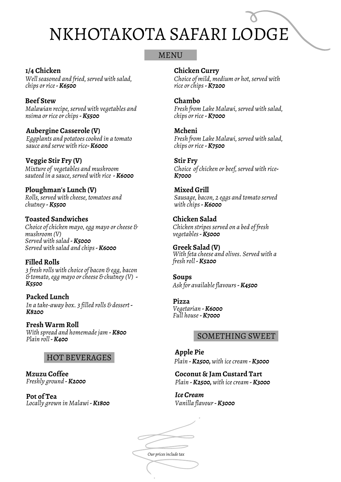#### MENU

**1/4 Chicken** *Well seasoned and fried, served with salad, chips orrice-K6500*

*Malawian recipe,served with vegetables and nsima orrice orchips-K5500* **Beef Stew**

**Aubergine Casserole (V)** *Eggplants and potatoescooked in a tomato sauce and serve with rice-K6000*

**Veggie Stir Fry (V)** *Mixture of vegetables and mushroom sauteed in a sauce, served with rice* - **K6000** 

**Ploughman's Lunch (V)** *Rolls,served with cheese, tomatoes and chutney -K5500*

**Toasted Sandwiches** *Choice ofchicken mayo,egg mayo orcheese & mushroom (V) Served with salad -K5000 Served with salad and chips-K6000*

**Filled Rolls** *3 fresh rolls with choice of bacon & egg, bacon & tomato,egg mayo orcheese & chutney (V) - K5500*

**Packed Lunch** *In a take-away box. 3 filled rolls & dessert - K8200*

**Fresh Warm Roll** *With spread and homemadejam -K800 Plain roll-K400*

#### HOT BEVERAGES

**Mzuzu Coffee** *Freshly ground -K2000*

**Pot of Tea** *Locally grown in Malawi-K1800* **Chicken Curry**

*Choice of mild, medium or hot,served with rice orchips-K7200*

#### **Chambo**

*Fresh from Lake Malawi,served with salad, chips orrice-K7000*

**Mcheni**

*Fresh from Lake Malawi,served with salad, chips orrice-K7500*

#### **Stir Fry**

*Choice of chicken or beef, served with rice-K7000*

**Mixed Grill** *Sausage, bacon, 2 eggs and tomato served with chips-K6000*

**Chicken Salad** *Chicken stripesserved on a bed of fresh vegetables-K5000*

**Greek Salad (V)** *With feta cheese and olives. Served with a fresh roll-K5200*

**Soups** *Ask for availableflavours-K4500*

**Pizza** *Vegetarian -K6000 Full house-K7000*

#### SOMETHING SWEET

**Apple Pie** *Plain -K2500,with icecream -K3000*

**Coconut & Jam Custard Tart** *Plain -K2500,with icecream -K3000*

*Ice Cream Vanilla flavour-K3000*

*Our pricesincludetax*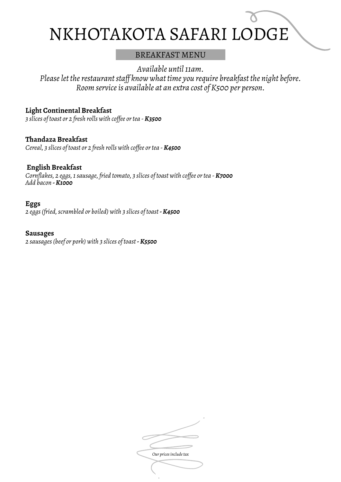#### BREAKFAST MENU

*Available until11am.*

*Pleaselet therestaurantstaf know what time you require breakfast the night before. Room serviceis available at an extra cost of K500 per person.*

#### **Light Continental Breakfast**

*3 slices of toast or 2 fresh rolls with cof ee ortea - K3500*

### **Thandaza Breakfast**

*Cereal, 3 slices of toast or 2 fresh rolls with cof ee ortea - K4500*

#### **English Breakfast**

*Cornflakes, 2 eggs,1sausage, fried tomato, 3 slices of toast with cof ee ortea - K7000 Add bacon -K1000*

#### **Eggs**

*2 eggs(fried,scrambled or boiled) with 3 slices of toast -K4500*

#### **Sausages**

*2 sausages(beef or pork) with 3 slices of toast -K5500*

**Our** prices include tax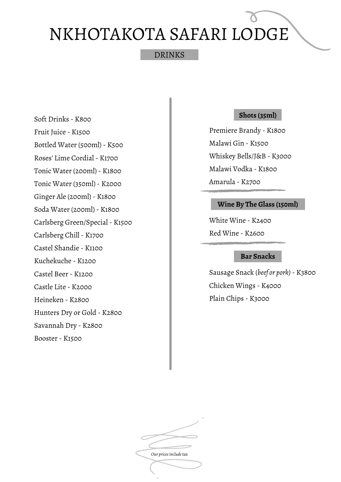#### DRINKS

Fruit Juice - K1500 Bottled Water (500ml) - K500 Roses' Lime Cordial - K1700 Tonic Water (200ml) - K1800 Tonic Water (350ml) - K2000 Ginger Ale (200ml) - K1800 Soda Water (200ml) - K1800 Carlsberg Green/Special - K1500 Carlsberg Chill - K1700 Castel Shandie - K1100 Kuchekuche - K1200 Castel Beer - K1200 Castle Lite - K2000 Heineken - K2800 Hunters Dry or Gold - K2800 Savannah Dry - K2800 Booster - K1500

Soft Drinks - K800

#### **Shots (35ml)**

Premiere Brandy - K1800 Malawi Gin - K1500 Whiskey Bells/J&B - K3000 Malawi Vodka - K1800 Amarula - K2700

#### **Wine By The Glass (150ml)**

White Wine - K2400 Red Wine - K2600

#### **Bar Snacks**

Sausage Snack (*beef or pork)*- K3800 Chicken Wings - K4000 Plain Chips - K3000

*Our pricesincludetax*